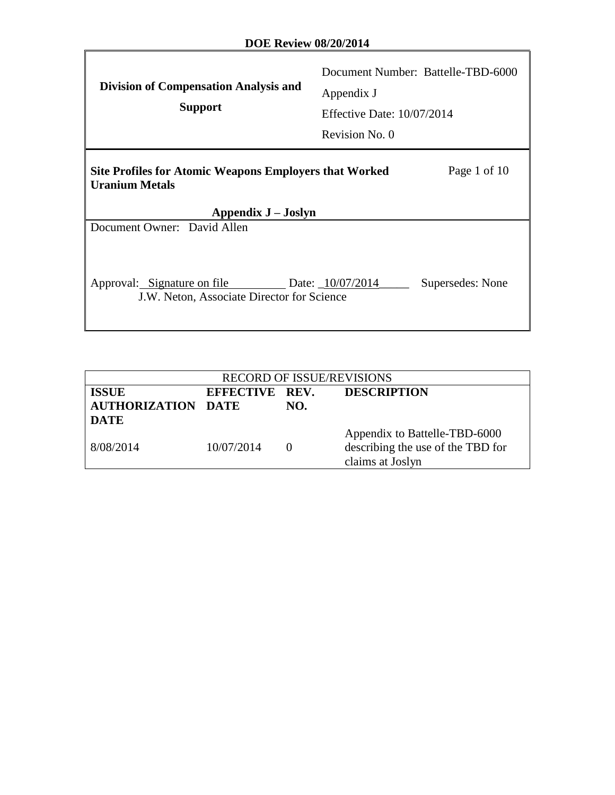| <b>Division of Compensation Analysis and</b><br><b>Support</b>                                                                | Document Number: Battelle-TBD-6000<br>Appendix J<br><b>Effective Date: 10/07/2014</b><br>Revision No. 0 |  |  |  |
|-------------------------------------------------------------------------------------------------------------------------------|---------------------------------------------------------------------------------------------------------|--|--|--|
| Page 1 of 10<br><b>Site Profiles for Atomic Weapons Employers that Worked</b><br><b>Uranium Metals</b><br>Appendix J – Joslyn |                                                                                                         |  |  |  |
| Document Owner: David Allen                                                                                                   |                                                                                                         |  |  |  |
| Approval: Signature on file<br>J.W. Neton, Associate Director for Science                                                     | Supersedes: None<br>Date: $\_10/07/2014$                                                                |  |  |  |

| <b>RECORD OF ISSUE/REVISIONS</b> |                |     |                                   |
|----------------------------------|----------------|-----|-----------------------------------|
| <b>ISSUE</b>                     | EFFECTIVE REV. |     | <b>DESCRIPTION</b>                |
| <b>AUTHORIZATION DATE</b>        |                | NO. |                                   |
| <b>DATE</b>                      |                |     |                                   |
|                                  |                |     | Appendix to Battelle-TBD-6000     |
| 8/08/2014                        | 10/07/2014     |     | describing the use of the TBD for |
|                                  |                |     | claims at Joslyn                  |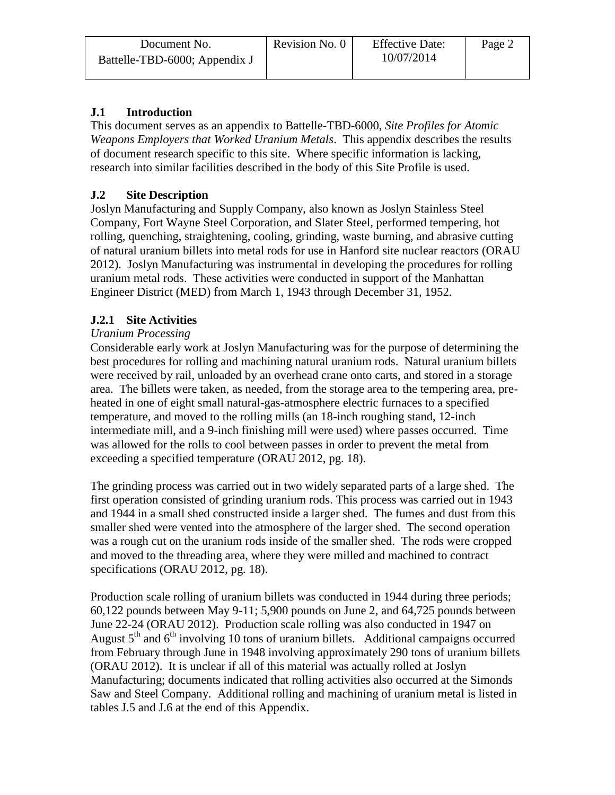| Document No.                  | Revision No. 0 | <b>Effective Date:</b> | Page 2 |
|-------------------------------|----------------|------------------------|--------|
| Battelle-TBD-6000; Appendix J |                | 10/07/2014             |        |

# **J.1 Introduction**

This document serves as an appendix to Battelle-TBD-6000, *Site Profiles for Atomic Weapons Employers that Worked Uranium Metals*. This appendix describes the results of document research specific to this site. Where specific information is lacking, research into similar facilities described in the body of this Site Profile is used.

# **J.2 Site Description**

Joslyn Manufacturing and Supply Company, also known as Joslyn Stainless Steel Company, Fort Wayne Steel Corporation, and Slater Steel, performed tempering, hot rolling, quenching, straightening, cooling, grinding, waste burning, and abrasive cutting of natural uranium billets into metal rods for use in Hanford site nuclear reactors (ORAU 2012). Joslyn Manufacturing was instrumental in developing the procedures for rolling uranium metal rods. These activities were conducted in support of the Manhattan Engineer District (MED) from March 1, 1943 through December 31, 1952.

## **J.2.1 Site Activities**

#### *Uranium Processing*

Considerable early work at Joslyn Manufacturing was for the purpose of determining the best procedures for rolling and machining natural uranium rods. Natural uranium billets were received by rail, unloaded by an overhead crane onto carts, and stored in a storage area. The billets were taken, as needed, from the storage area to the tempering area, preheated in one of eight small natural-gas-atmosphere electric furnaces to a specified temperature, and moved to the rolling mills (an 18-inch roughing stand, 12-inch intermediate mill, and a 9-inch finishing mill were used) where passes occurred. Time was allowed for the rolls to cool between passes in order to prevent the metal from exceeding a specified temperature (ORAU 2012, pg. 18).

The grinding process was carried out in two widely separated parts of a large shed. The first operation consisted of grinding uranium rods. This process was carried out in 1943 and 1944 in a small shed constructed inside a larger shed. The fumes and dust from this smaller shed were vented into the atmosphere of the larger shed. The second operation was a rough cut on the uranium rods inside of the smaller shed. The rods were cropped and moved to the threading area, where they were milled and machined to contract specifications (ORAU 2012, pg. 18).

Production scale rolling of uranium billets was conducted in 1944 during three periods; 60,122 pounds between May 9-11; 5,900 pounds on June 2, and 64,725 pounds between June 22-24 (ORAU 2012). Production scale rolling was also conducted in 1947 on August  $5<sup>th</sup>$  and  $6<sup>th</sup>$  involving 10 tons of uranium billets. Additional campaigns occurred from February through June in 1948 involving approximately 290 tons of uranium billets (ORAU 2012). It is unclear if all of this material was actually rolled at Joslyn Manufacturing; documents indicated that rolling activities also occurred at the Simonds Saw and Steel Company. Additional rolling and machining of uranium metal is listed in tables J.5 and J.6 at the end of this Appendix.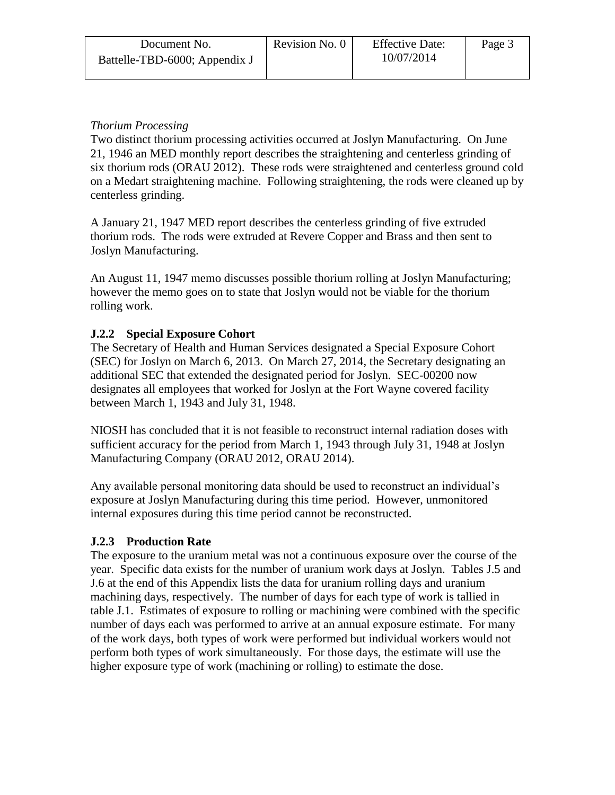| Document No.                  | Revision No. 0 | <b>Effective Date:</b> | Page 3 |
|-------------------------------|----------------|------------------------|--------|
| Battelle-TBD-6000; Appendix J |                | 10/07/2014             |        |

## *Thorium Processing*

Two distinct thorium processing activities occurred at Joslyn Manufacturing. On June 21, 1946 an MED monthly report describes the straightening and centerless grinding of six thorium rods (ORAU 2012). These rods were straightened and centerless ground cold on a Medart straightening machine. Following straightening, the rods were cleaned up by centerless grinding.

A January 21, 1947 MED report describes the centerless grinding of five extruded thorium rods. The rods were extruded at Revere Copper and Brass and then sent to Joslyn Manufacturing.

An August 11, 1947 memo discusses possible thorium rolling at Joslyn Manufacturing; however the memo goes on to state that Joslyn would not be viable for the thorium rolling work.

## **J.2.2 Special Exposure Cohort**

The Secretary of Health and Human Services designated a Special Exposure Cohort (SEC) for Joslyn on March 6, 2013. On March 27, 2014, the Secretary designating an additional SEC that extended the designated period for Joslyn. SEC-00200 now designates all employees that worked for Joslyn at the Fort Wayne covered facility between March 1, 1943 and July 31, 1948.

NIOSH has concluded that it is not feasible to reconstruct internal radiation doses with sufficient accuracy for the period from March 1, 1943 through July 31, 1948 at Joslyn Manufacturing Company (ORAU 2012, ORAU 2014).

Any available personal monitoring data should be used to reconstruct an individual's exposure at Joslyn Manufacturing during this time period. However, unmonitored internal exposures during this time period cannot be reconstructed.

#### **J.2.3 Production Rate**

The exposure to the uranium metal was not a continuous exposure over the course of the year. Specific data exists for the number of uranium work days at Joslyn. Tables J.5 and J.6 at the end of this Appendix lists the data for uranium rolling days and uranium machining days, respectively. The number of days for each type of work is tallied in table J.1. Estimates of exposure to rolling or machining were combined with the specific number of days each was performed to arrive at an annual exposure estimate. For many of the work days, both types of work were performed but individual workers would not perform both types of work simultaneously. For those days, the estimate will use the higher exposure type of work (machining or rolling) to estimate the dose.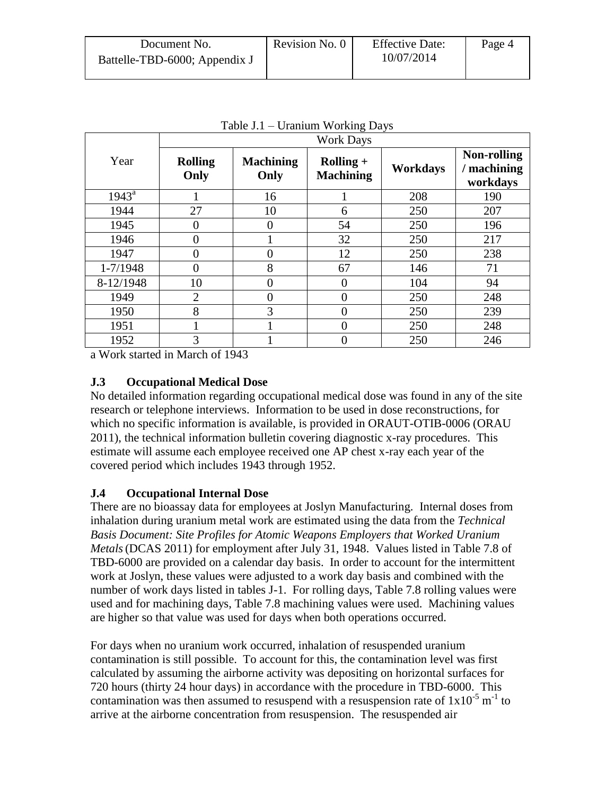| Document No.                  | Revision No. 0 | <b>Effective Date:</b> | Page 4 |
|-------------------------------|----------------|------------------------|--------|
| Battelle-TBD-6000; Appendix J |                | 10/07/2014             |        |

|                | <b>Work Days</b>       |                          |                                 |                 |                                             |  |
|----------------|------------------------|--------------------------|---------------------------------|-----------------|---------------------------------------------|--|
| Year           | <b>Rolling</b><br>Only | <b>Machining</b><br>Only | $Rolling +$<br><b>Machining</b> | <b>Workdays</b> | <b>Non-rolling</b><br>machining<br>workdays |  |
| $1943^{\rm a}$ |                        | 16                       |                                 | 208             | 190                                         |  |
| 1944           | 27                     | 10                       | 6                               | 250             | 207                                         |  |
| 1945           | $\overline{0}$         | 0                        | 54                              | 250             | 196                                         |  |
| 1946           | $\overline{0}$         |                          | 32                              | 250             | 217                                         |  |
| 1947           | $\overline{0}$         | 0                        | 12                              | 250             | 238                                         |  |
| $1 - 7/1948$   | $\overline{0}$         | 8                        | 67                              | 146             | 71                                          |  |
| 8-12/1948      | 10                     | $\theta$                 | 0                               | 104             | 94                                          |  |
| 1949           | $\overline{2}$         | $\overline{0}$           | 0                               | 250             | 248                                         |  |
| 1950           | 8                      | 3                        | 0                               | 250             | 239                                         |  |
| 1951           | 1                      |                          | 0                               | 250             | 248                                         |  |
| 1952           | 3                      |                          |                                 | 250             | 246                                         |  |

Table J.1 – Uranium Working Days

a Work started in March of 1943

## **J.3 Occupational Medical Dose**

No detailed information regarding occupational medical dose was found in any of the site research or telephone interviews. Information to be used in dose reconstructions, for which no specific information is available, is provided in ORAUT-OTIB-0006 (ORAU 2011), the technical information bulletin covering diagnostic x-ray procedures. This estimate will assume each employee received one AP chest x-ray each year of the covered period which includes 1943 through 1952.

#### **J.4 Occupational Internal Dose**

There are no bioassay data for employees at Joslyn Manufacturing. Internal doses from inhalation during uranium metal work are estimated using the data from the *Technical Basis Document: Site Profiles for Atomic Weapons Employers that Worked Uranium Metals*(DCAS 2011) for employment after July 31, 1948. Values listed in Table 7.8 of TBD-6000 are provided on a calendar day basis. In order to account for the intermittent work at Joslyn, these values were adjusted to a work day basis and combined with the number of work days listed in tables J-1. For rolling days, Table 7.8 rolling values were used and for machining days, Table 7.8 machining values were used. Machining values are higher so that value was used for days when both operations occurred.

For days when no uranium work occurred, inhalation of resuspended uranium contamination is still possible. To account for this, the contamination level was first calculated by assuming the airborne activity was depositing on horizontal surfaces for 720 hours (thirty 24 hour days) in accordance with the procedure in TBD-6000. This contamination was then assumed to resuspend with a resuspension rate of  $1x10^{-5}$  m<sup>-1</sup> to arrive at the airborne concentration from resuspension. The resuspended air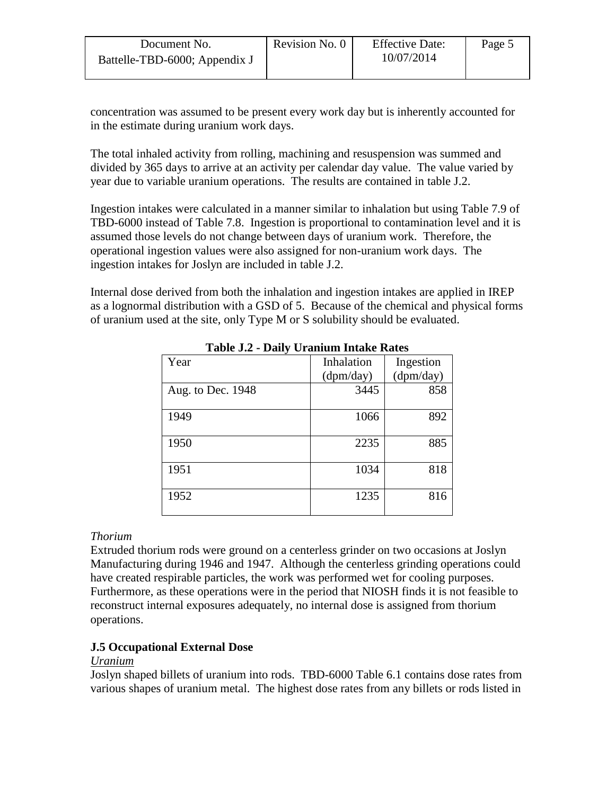| Document No.                  | Revision No. 0 | <b>Effective Date:</b> | Page 5 |
|-------------------------------|----------------|------------------------|--------|
| Battelle-TBD-6000; Appendix J |                | 10/07/2014             |        |
|                               |                |                        |        |

concentration was assumed to be present every work day but is inherently accounted for in the estimate during uranium work days.

The total inhaled activity from rolling, machining and resuspension was summed and divided by 365 days to arrive at an activity per calendar day value. The value varied by year due to variable uranium operations. The results are contained in table J.2.

Ingestion intakes were calculated in a manner similar to inhalation but using Table 7.9 of TBD-6000 instead of Table 7.8. Ingestion is proportional to contamination level and it is assumed those levels do not change between days of uranium work. Therefore, the operational ingestion values were also assigned for non-uranium work days. The ingestion intakes for Joslyn are included in table J.2.

Internal dose derived from both the inhalation and ingestion intakes are applied in IREP as a lognormal distribution with a GSD of 5. Because of the chemical and physical forms of uranium used at the site, only Type M or S solubility should be evaluated.

| Year              | Inhalation | Ingestion |
|-------------------|------------|-----------|
|                   | (dpm/day)  | (dpm/day) |
| Aug. to Dec. 1948 | 3445       | 858       |
|                   |            |           |
| 1949              | 1066       | 892       |
|                   |            |           |
| 1950              | 2235       | 885       |
|                   |            |           |
| 1951              | 1034       | 818       |
|                   |            |           |
| 1952              | 1235       | 816       |
|                   |            |           |

**Table J.2 - Daily Uranium Intake Rates**

#### *Thorium*

Extruded thorium rods were ground on a centerless grinder on two occasions at Joslyn Manufacturing during 1946 and 1947. Although the centerless grinding operations could have created respirable particles, the work was performed wet for cooling purposes. Furthermore, as these operations were in the period that NIOSH finds it is not feasible to reconstruct internal exposures adequately, no internal dose is assigned from thorium operations.

# **J.5 Occupational External Dose**

#### *Uranium*

Joslyn shaped billets of uranium into rods. TBD-6000 Table 6.1 contains dose rates from various shapes of uranium metal. The highest dose rates from any billets or rods listed in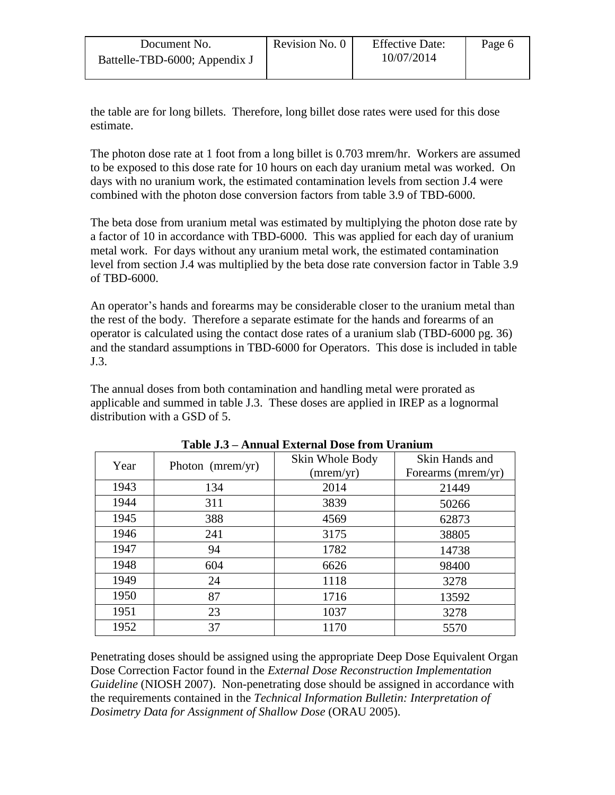| Document No.                  | Revision No. 0 | <b>Effective Date:</b> | Page 6 |
|-------------------------------|----------------|------------------------|--------|
| Battelle-TBD-6000; Appendix J |                | 10/07/2014             |        |

the table are for long billets. Therefore, long billet dose rates were used for this dose estimate.

The photon dose rate at 1 foot from a long billet is 0.703 mrem/hr. Workers are assumed to be exposed to this dose rate for 10 hours on each day uranium metal was worked. On days with no uranium work, the estimated contamination levels from section J.4 were combined with the photon dose conversion factors from table 3.9 of TBD-6000.

The beta dose from uranium metal was estimated by multiplying the photon dose rate by a factor of 10 in accordance with TBD-6000. This was applied for each day of uranium metal work. For days without any uranium metal work, the estimated contamination level from section J.4 was multiplied by the beta dose rate conversion factor in Table 3.9 of TBD-6000.

An operator's hands and forearms may be considerable closer to the uranium metal than the rest of the body. Therefore a separate estimate for the hands and forearms of an operator is calculated using the contact dose rates of a uranium slab (TBD-6000 pg. 36) and the standard assumptions in TBD-6000 for Operators. This dose is included in table J.3.

The annual doses from both contamination and handling metal were prorated as applicable and summed in table J.3. These doses are applied in IREP as a lognormal distribution with a GSD of 5.

| Year | Photon ( $mermyr$ ) | Skin Whole Body<br>(mrem/yr) | Skin Hands and<br>Forearms (mrem/yr) |
|------|---------------------|------------------------------|--------------------------------------|
| 1943 | 134                 | 2014                         | 21449                                |
| 1944 | 311                 | 3839                         | 50266                                |
| 1945 | 388                 | 4569                         | 62873                                |
| 1946 | 241                 | 3175                         | 38805                                |
| 1947 | 94                  | 1782                         | 14738                                |
| 1948 | 604                 | 6626                         | 98400                                |
| 1949 | 24                  | 1118                         | 3278                                 |
| 1950 | 87                  | 1716                         | 13592                                |
| 1951 | 23                  | 1037                         | 3278                                 |
| 1952 | 37                  | 1170                         | 5570                                 |

**Table J.3 – Annual External Dose from Uranium**

Penetrating doses should be assigned using the appropriate Deep Dose Equivalent Organ Dose Correction Factor found in the *External Dose Reconstruction Implementation Guideline* (NIOSH 2007). Non-penetrating dose should be assigned in accordance with the requirements contained in the *Technical Information Bulletin: Interpretation of Dosimetry Data for Assignment of Shallow Dose* (ORAU 2005).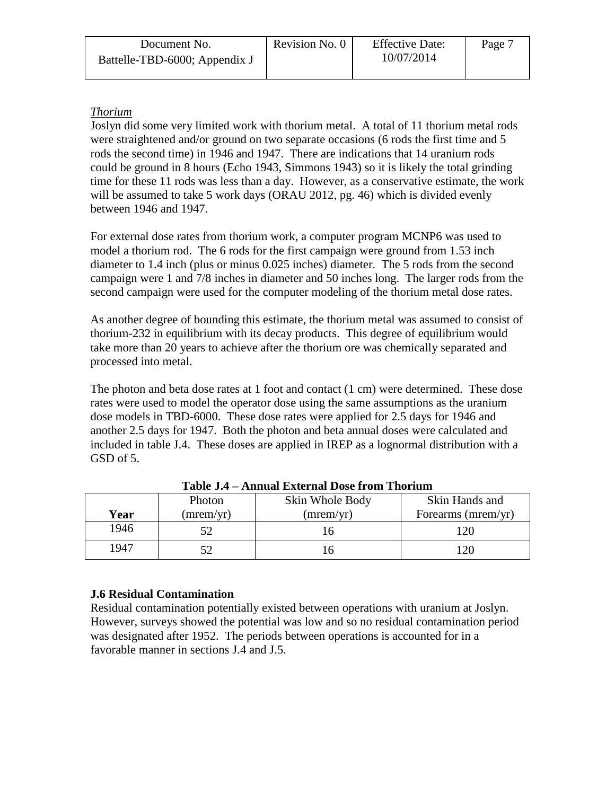| Document No.                  | Revision No. 0 | <b>Effective Date:</b> | Page <sup>-</sup> |
|-------------------------------|----------------|------------------------|-------------------|
| Battelle-TBD-6000; Appendix J |                | 10/07/2014             |                   |

## *Thorium*

Joslyn did some very limited work with thorium metal. A total of 11 thorium metal rods were straightened and/or ground on two separate occasions (6 rods the first time and 5 rods the second time) in 1946 and 1947. There are indications that 14 uranium rods could be ground in 8 hours (Echo 1943, Simmons 1943) so it is likely the total grinding time for these 11 rods was less than a day. However, as a conservative estimate, the work will be assumed to take 5 work days (ORAU 2012, pg. 46) which is divided evenly between 1946 and 1947.

For external dose rates from thorium work, a computer program MCNP6 was used to model a thorium rod. The 6 rods for the first campaign were ground from 1.53 inch diameter to 1.4 inch (plus or minus 0.025 inches) diameter. The 5 rods from the second campaign were 1 and 7/8 inches in diameter and 50 inches long. The larger rods from the second campaign were used for the computer modeling of the thorium metal dose rates.

As another degree of bounding this estimate, the thorium metal was assumed to consist of thorium-232 in equilibrium with its decay products. This degree of equilibrium would take more than 20 years to achieve after the thorium ore was chemically separated and processed into metal.

The photon and beta dose rates at 1 foot and contact (1 cm) were determined. These dose rates were used to model the operator dose using the same assumptions as the uranium dose models in TBD-6000. These dose rates were applied for 2.5 days for 1946 and another 2.5 days for 1947. Both the photon and beta annual doses were calculated and included in table J.4. These doses are applied in IREP as a lognormal distribution with a GSD of 5.

|      | Photon    | Skin Whole Body | Skin Hands and     |
|------|-----------|-----------------|--------------------|
| Year | (mrem/yr) | (mrem/yr)       | Forearms (mrem/yr) |
| 1946 |           |                 | 20                 |
| 1947 |           |                 |                    |

**Table J.4 – Annual External Dose from Thorium**

#### **J.6 Residual Contamination**

Residual contamination potentially existed between operations with uranium at Joslyn. However, surveys showed the potential was low and so no residual contamination period was designated after 1952. The periods between operations is accounted for in a favorable manner in sections J.4 and J.5.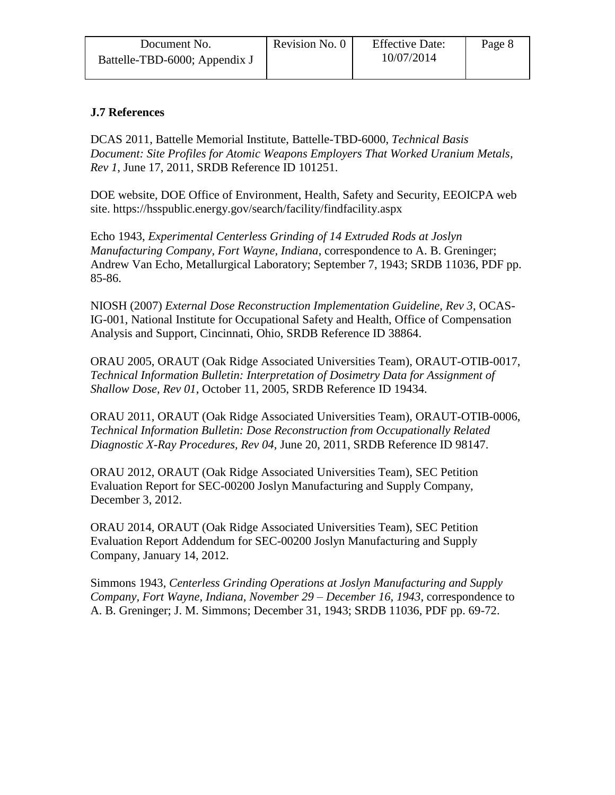| Document No.                  | Revision No. 0 | <b>Effective Date:</b> | Page 8 |
|-------------------------------|----------------|------------------------|--------|
| Battelle-TBD-6000; Appendix J |                | 10/07/2014             |        |

#### **J.7 References**

DCAS 2011, Battelle Memorial Institute, Battelle-TBD-6000, *Technical Basis Document: Site Profiles for Atomic Weapons Employers That Worked Uranium Metals, Rev 1*, June 17, 2011, SRDB Reference ID 101251.

DOE website, DOE Office of Environment, Health, Safety and Security, EEOICPA web site. https://hsspublic.energy.gov/search/facility/findfacility.aspx

Echo 1943, *Experimental Centerless Grinding of 14 Extruded Rods at Joslyn Manufacturing Company, Fort Wayne, Indiana*, correspondence to A. B. Greninger; Andrew Van Echo, Metallurgical Laboratory; September 7, 1943; SRDB 11036, PDF pp. 85-86.

NIOSH (2007) *External Dose Reconstruction Implementation Guideline, Rev 3*, OCAS-IG-001, National Institute for Occupational Safety and Health, Office of Compensation Analysis and Support, Cincinnati, Ohio, SRDB Reference ID 38864.

ORAU 2005, ORAUT (Oak Ridge Associated Universities Team), ORAUT-OTIB-0017, *Technical Information Bulletin: Interpretation of Dosimetry Data for Assignment of Shallow Dose, Rev 01*, October 11, 2005, SRDB Reference ID 19434.

ORAU 2011, ORAUT (Oak Ridge Associated Universities Team), ORAUT-OTIB-0006, *Technical Information Bulletin: Dose Reconstruction from Occupationally Related Diagnostic X-Ray Procedures, Rev 04*, June 20, 2011, SRDB Reference ID 98147.

ORAU 2012, ORAUT (Oak Ridge Associated Universities Team), SEC Petition Evaluation Report for SEC-00200 Joslyn Manufacturing and Supply Company, December 3, 2012.

ORAU 2014, ORAUT (Oak Ridge Associated Universities Team), SEC Petition Evaluation Report Addendum for SEC-00200 Joslyn Manufacturing and Supply Company, January 14, 2012.

Simmons 1943, *Centerless Grinding Operations at Joslyn Manufacturing and Supply Company, Fort Wayne, Indiana, November 29 – December 16, 1943*, correspondence to A. B. Greninger; J. M. Simmons; December 31, 1943; SRDB 11036, PDF pp. 69-72.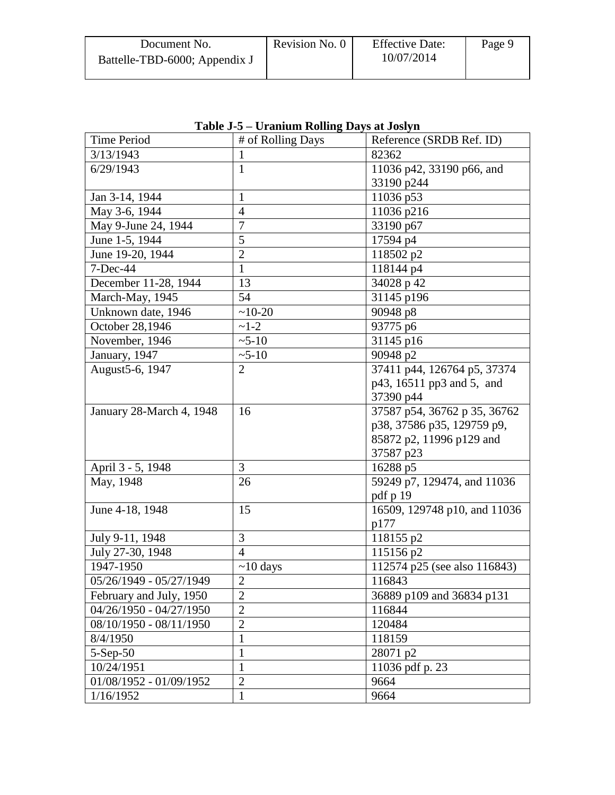| Document No.                  | Revision No. 0 | <b>Effective Date:</b> | Page 9 |
|-------------------------------|----------------|------------------------|--------|
| Battelle-TBD-6000; Appendix J |                | 10/07/2014             |        |

| Time Period              | # of Rolling Days | Reference (SRDB Ref. ID)     |
|--------------------------|-------------------|------------------------------|
| 3/13/1943                | $\mathbf{1}$      | 82362                        |
| 6/29/1943                | $\mathbf{1}$      | 11036 p42, 33190 p66, and    |
|                          |                   | 33190 p244                   |
| Jan 3-14, 1944           | $\mathbf{1}$      | 11036 p53                    |
| May 3-6, 1944            | $\overline{4}$    | 11036 p216                   |
| May 9-June 24, 1944      | $\overline{7}$    | 33190 p67                    |
| June 1-5, 1944           | 5                 | 17594 p4                     |
| June 19-20, 1944         | $\overline{2}$    | 118502 p2                    |
| 7-Dec-44                 | $\mathbf{1}$      | 118144 p4                    |
| December 11-28, 1944     | 13                | 34028 p 42                   |
| March-May, 1945          | 54                | 31145 p196                   |
| Unknown date, 1946       | $~10-20$          | 90948 p8                     |
| October 28,1946          | $-1-2$            | 93775 p6                     |
| November, 1946           | $~5 - 10$         | 31145 p16                    |
| January, 1947            | $~5 - 10$         | 90948 p2                     |
| August 5-6, 1947         | 2                 | 37411 p44, 126764 p5, 37374  |
|                          |                   | p43, 16511 pp3 and 5, and    |
|                          |                   | 37390 p44                    |
| January 28-March 4, 1948 | 16                | 37587 p54, 36762 p 35, 36762 |
|                          |                   | p38, 37586 p35, 129759 p9,   |
|                          |                   | 85872 p2, 11996 p129 and     |
|                          |                   | 37587 p23                    |
| April 3 - 5, 1948        | 3                 | 16288 p5                     |
| May, 1948                | 26                | 59249 p7, 129474, and 11036  |
|                          |                   | pdf p 19                     |
| June 4-18, 1948          | 15                | 16509, 129748 p10, and 11036 |
|                          |                   | p177                         |
| July 9-11, 1948          | 3                 | 118155 p2                    |
| July 27-30, 1948         | $\overline{4}$    | 115156 p2                    |
| 1947-1950                | $\sim$ 10 days    | 112574 p25 (see also 116843) |
| 05/26/1949 - 05/27/1949  | $\sqrt{2}$        | 116843                       |
| February and July, 1950  | $\overline{2}$    | 36889 p109 and 36834 p131    |
| 04/26/1950 - 04/27/1950  | $\overline{2}$    | 116844                       |
| 08/10/1950 - 08/11/1950  | $\overline{2}$    | 120484                       |
| 8/4/1950                 | $\mathbf{1}$      | 118159                       |
| $5-Sep-50$               | $\mathbf{1}$      | 28071 p2                     |
| 10/24/1951               | $\mathbf{1}$      | 11036 pdf p. 23              |
| 01/08/1952 - 01/09/1952  | $\overline{2}$    | 9664                         |
| 1/16/1952                | $\mathbf{1}$      | 9664                         |

**Table J-5 – Uranium Rolling Days at Joslyn**